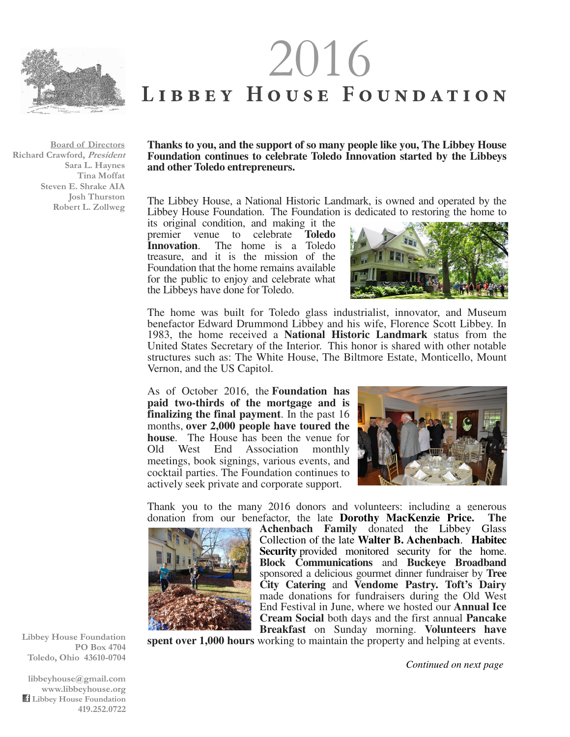

 $2016$ <br>
LIBBEY HOUSE FOUNDATION

**Board of Directors Richard Crawford, President Sara L. Haynes Tina Moffat Steven E. Shrake AIA Josh Thurston Robert L. Zollweg** 

## **Thanks to you, and the support of so many people like you, The Libbey House Foundation continues to celebrate Toledo Innovation started by the Libbeys and other Toledo entrepreneurs.**

The Libbey House, a National Historic Landmark, is owned and operated by the Libbey House Foundation. The Foundation is dedicated to restoring the home to

its original condition, and making it the premier venue to celebrate **Toledo Innovation**. The home is a Toledo treasure, and it is the mission of the Foundation that the home remains available for the public to enjoy and celebrate what the Libbeys have done for Toledo.



The home was built for Toledo glass industrialist, innovator, and Museum benefactor Edward Drummond Libbey and his wife, Florence Scott Libbey. In 1983, the home received a **National Historic Landmark** status from the United States Secretary of the Interior. This honor is shared with other notable structures such as: The White House, The Biltmore Estate, Monticello, Mount Vernon, and the US Capitol.

As of October 2016, the **Foundation has paid two-thirds of the mortgage and is finalizing the final payment**. In the past 16 months, **over 2,000 people have toured the house**. The House has been the venue for Old West End Association monthly meetings, book signings, various events, and cocktail parties. The Foundation continues to actively seek private and corporate support.



Thank you to the many 2016 donors and volunteers: including a generous donation from our benefactor, the late **Dorothy MacKenzie Price. The** 



**Achenbach Family** donated the Libbey Glass Collection of the late **Walter B. Achenbach**. **Habitec Security** provided monitored security for the home. **Block Communications** and **Buckeye Broadband**  sponsored a delicious gourmet dinner fundraiser by **Tree City Catering** and **Vendome Pastry. Toft's Dairy**  made donations for fundraisers during the Old West End Festival in June, where we hosted our **Annual Ice Cream Social** both days and the first annual **Pancake Breakfast** on Sunday morning. **Volunteers have** 

**spent over 1,000 hours** working to maintain the property and helping at events.

**Libbey House Foundation PO Box 4704 Toledo, Ohio 43610-0704** 

**libbeyhouse@gmail.com www.libbeyhouse.org Libbey House Foundation 419.252.0722** *Continued on next page*